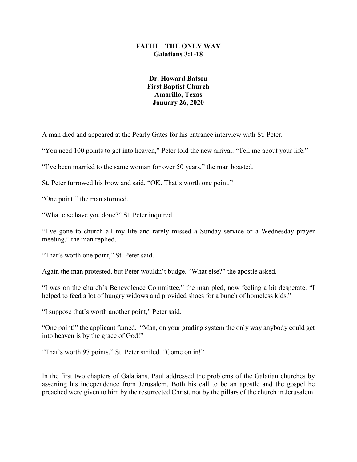#### **FAITH – THE ONLY WAY Galatians 3:1-18**

# **Dr. Howard Batson First Baptist Church Amarillo, Texas January 26, 2020**

A man died and appeared at the Pearly Gates for his entrance interview with St. Peter.

"You need 100 points to get into heaven," Peter told the new arrival. "Tell me about your life."

"I've been married to the same woman for over 50 years," the man boasted.

St. Peter furrowed his brow and said, "OK. That's worth one point."

"One point!" the man stormed.

"What else have you done?" St. Peter inquired.

"I've gone to church all my life and rarely missed a Sunday service or a Wednesday prayer meeting," the man replied.

"That's worth one point," St. Peter said.

Again the man protested, but Peter wouldn't budge. "What else?" the apostle asked.

"I was on the church's Benevolence Committee," the man pled, now feeling a bit desperate. "I helped to feed a lot of hungry widows and provided shoes for a bunch of homeless kids."

"I suppose that's worth another point," Peter said.

"One point!" the applicant fumed. "Man, on your grading system the only way anybody could get into heaven is by the grace of God!"

"That's worth 97 points," St. Peter smiled. "Come on in!"

In the first two chapters of Galatians, Paul addressed the problems of the Galatian churches by asserting his independence from Jerusalem. Both his call to be an apostle and the gospel he preached were given to him by the resurrected Christ, not by the pillars of the church in Jerusalem.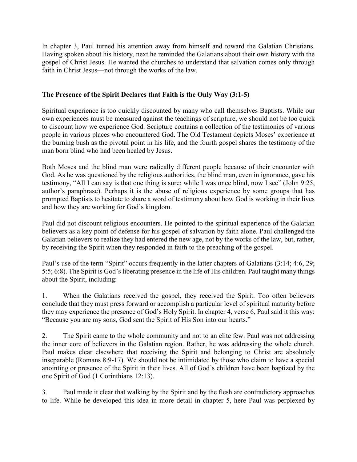In chapter 3, Paul turned his attention away from himself and toward the Galatian Christians. Having spoken about his history, next he reminded the Galatians about their own history with the gospel of Christ Jesus. He wanted the churches to understand that salvation comes only through faith in Christ Jesus—not through the works of the law.

# **The Presence of the Spirit Declares that Faith is the Only Way (3:1-5)**

Spiritual experience is too quickly discounted by many who call themselves Baptists. While our own experiences must be measured against the teachings of scripture, we should not be too quick to discount how we experience God. Scripture contains a collection of the testimonies of various people in various places who encountered God. The Old Testament depicts Moses' experience at the burning bush as the pivotal point in his life, and the fourth gospel shares the testimony of the man born blind who had been healed by Jesus.

Both Moses and the blind man were radically different people because of their encounter with God. As he was questioned by the religious authorities, the blind man, even in ignorance, gave his testimony, "All I can say is that one thing is sure: while I was once blind, now I see" (John 9:25, author's paraphrase). Perhaps it is the abuse of religious experience by some groups that has prompted Baptists to hesitate to share a word of testimony about how God is working in their lives and how they are working for God's kingdom.

Paul did not discount religious encounters. He pointed to the spiritual experience of the Galatian believers as a key point of defense for his gospel of salvation by faith alone. Paul challenged the Galatian believers to realize they had entered the new age, not by the works of the law, but, rather, by receiving the Spirit when they responded in faith to the preaching of the gospel.

Paul's use of the term "Spirit" occurs frequently in the latter chapters of Galatians (3:14; 4:6, 29; 5:5; 6:8). The Spirit is God's liberating presence in the life of His children. Paul taught many things about the Spirit, including:

1. When the Galatians received the gospel, they received the Spirit. Too often believers conclude that they must press forward or accomplish a particular level of spiritual maturity before they may experience the presence of God's Holy Spirit. In chapter 4, verse 6, Paul said it this way: "Because you are my sons, God sent the Spirit of His Son into our hearts."

2. The Spirit came to the whole community and not to an elite few. Paul was not addressing the inner core of believers in the Galatian region. Rather, he was addressing the whole church. Paul makes clear elsewhere that receiving the Spirit and belonging to Christ are absolutely inseparable (Romans 8:9-17). We should not be intimidated by those who claim to have a special anointing or presence of the Spirit in their lives. All of God's children have been baptized by the one Spirit of God (1 Corinthians 12:13).

3. Paul made it clear that walking by the Spirit and by the flesh are contradictory approaches to life. While he developed this idea in more detail in chapter 5, here Paul was perplexed by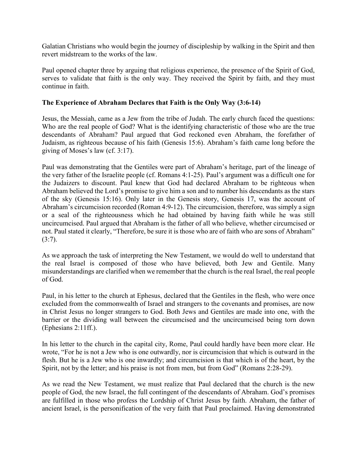Galatian Christians who would begin the journey of discipleship by walking in the Spirit and then revert midstream to the works of the law.

Paul opened chapter three by arguing that religious experience, the presence of the Spirit of God, serves to validate that faith is the only way. They received the Spirit by faith, and they must continue in faith.

#### **The Experience of Abraham Declares that Faith is the Only Way (3:6-14)**

Jesus, the Messiah, came as a Jew from the tribe of Judah. The early church faced the questions: Who are the real people of God? What is the identifying characteristic of those who are the true descendants of Abraham? Paul argued that God reckoned even Abraham, the forefather of Judaism, as righteous because of his faith (Genesis 15:6). Abraham's faith came long before the giving of Moses's law (cf. 3:17).

Paul was demonstrating that the Gentiles were part of Abraham's heritage, part of the lineage of the very father of the Israelite people (cf. Romans 4:1-25). Paul's argument was a difficult one for the Judaizers to discount. Paul knew that God had declared Abraham to be righteous when Abraham believed the Lord's promise to give him a son and to number his descendants as the stars of the sky (Genesis 15:16). Only later in the Genesis story, Genesis 17, was the account of Abraham's circumcision recorded (Roman 4:9-12). The circumcision, therefore, was simply a sign or a seal of the righteousness which he had obtained by having faith while he was still uncircumcised. Paul argued that Abraham is the father of all who believe, whether circumcised or not. Paul stated it clearly, "Therefore, be sure it is those who are of faith who are sons of Abraham"  $(3:7)$ .

As we approach the task of interpreting the New Testament, we would do well to understand that the real Israel is composed of those who have believed, both Jew and Gentile. Many misunderstandings are clarified when we remember that the church is the real Israel, the real people of God.

Paul, in his letter to the church at Ephesus, declared that the Gentiles in the flesh, who were once excluded from the commonwealth of Israel and strangers to the covenants and promises, are now in Christ Jesus no longer strangers to God. Both Jews and Gentiles are made into one, with the barrier or the dividing wall between the circumcised and the uncircumcised being torn down (Ephesians 2:11ff.).

In his letter to the church in the capital city, Rome, Paul could hardly have been more clear. He wrote, "For he is not a Jew who is one outwardly, nor is circumcision that which is outward in the flesh. But he is a Jew who is one inwardly; and circumcision is that which is of the heart, by the Spirit, not by the letter; and his praise is not from men, but from God" (Romans 2:28-29).

As we read the New Testament, we must realize that Paul declared that the church is the new people of God, the new Israel, the full contingent of the descendants of Abraham. God's promises are fulfilled in those who profess the Lordship of Christ Jesus by faith. Abraham, the father of ancient Israel, is the personification of the very faith that Paul proclaimed. Having demonstrated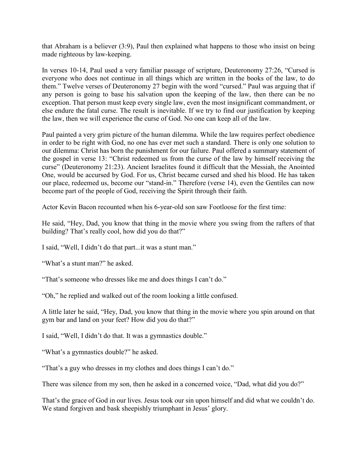that Abraham is a believer (3:9), Paul then explained what happens to those who insist on being made righteous by law-keeping.

In verses 10-14, Paul used a very familiar passage of scripture, Deuteronomy 27:26, "Cursed is everyone who does not continue in all things which are written in the books of the law, to do them." Twelve verses of Deuteronomy 27 begin with the word "cursed." Paul was arguing that if any person is going to base his salvation upon the keeping of the law, then there can be no exception. That person must keep every single law, even the most insignificant commandment, or else endure the fatal curse. The result is inevitable. If we try to find our justification by keeping the law, then we will experience the curse of God. No one can keep all of the law.

Paul painted a very grim picture of the human dilemma. While the law requires perfect obedience in order to be right with God, no one has ever met such a standard. There is only one solution to our dilemma: Christ has born the punishment for our failure. Paul offered a summary statement of the gospel in verse 13: "Christ redeemed us from the curse of the law by himself receiving the curse" (Deuteronomy 21:23). Ancient Israelites found it difficult that the Messiah, the Anointed One, would be accursed by God. For us, Christ became cursed and shed his blood. He has taken our place, redeemed us, become our "stand-in." Therefore (verse 14), even the Gentiles can now become part of the people of God, receiving the Spirit through their faith.

Actor Kevin Bacon recounted when his 6-year-old son saw Footloose for the first time:

He said, "Hey, Dad, you know that thing in the movie where you swing from the rafters of that building? That's really cool, how did you do that?"

I said, "Well, I didn't do that part...it was a stunt man."

"What's a stunt man?" he asked.

"That's someone who dresses like me and does things I can't do."

"Oh," he replied and walked out of the room looking a little confused.

A little later he said, "Hey, Dad, you know that thing in the movie where you spin around on that gym bar and land on your feet? How did you do that?"

I said, "Well, I didn't do that. It was a gymnastics double."

"What's a gymnastics double?" he asked.

"That's a guy who dresses in my clothes and does things I can't do."

There was silence from my son, then he asked in a concerned voice, "Dad, what did you do?"

That's the grace of God in our lives. Jesus took our sin upon himself and did what we couldn't do. We stand forgiven and bask sheepishly triumphant in Jesus' glory.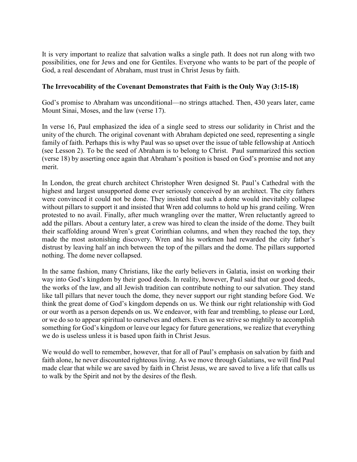It is very important to realize that salvation walks a single path. It does not run along with two possibilities, one for Jews and one for Gentiles. Everyone who wants to be part of the people of God, a real descendant of Abraham, must trust in Christ Jesus by faith.

### **The Irrevocability of the Covenant Demonstrates that Faith is the Only Way (3:15-18)**

God's promise to Abraham was unconditional—no strings attached. Then, 430 years later, came Mount Sinai, Moses, and the law (verse 17).

In verse 16, Paul emphasized the idea of a single seed to stress our solidarity in Christ and the unity of the church. The original covenant with Abraham depicted one seed, representing a single family of faith. Perhaps this is why Paul was so upset over the issue of table fellowship at Antioch (see Lesson 2). To be the seed of Abraham is to belong to Christ. Paul summarized this section (verse 18) by asserting once again that Abraham's position is based on God's promise and not any merit.

In London, the great church architect Christopher Wren designed St. Paul's Cathedral with the highest and largest unsupported dome ever seriously conceived by an architect. The city fathers were convinced it could not be done. They insisted that such a dome would inevitably collapse without pillars to support it and insisted that Wren add columns to hold up his grand ceiling. Wren protested to no avail. Finally, after much wrangling over the matter, Wren reluctantly agreed to add the pillars. About a century later, a crew was hired to clean the inside of the dome. They built their scaffolding around Wren's great Corinthian columns, and when they reached the top, they made the most astonishing discovery. Wren and his workmen had rewarded the city father's distrust by leaving half an inch between the top of the pillars and the dome. The pillars supported nothing. The dome never collapsed.

In the same fashion, many Christians, like the early believers in Galatia, insist on working their way into God's kingdom by their good deeds. In reality, however, Paul said that our good deeds, the works of the law, and all Jewish tradition can contribute nothing to our salvation. They stand like tall pillars that never touch the dome, they never support our right standing before God. We think the great dome of God's kingdom depends on us. We think our right relationship with God or our worth as a person depends on us. We endeavor, with fear and trembling, to please our Lord, or we do so to appear spiritual to ourselves and others. Even as we strive so mightily to accomplish something for God's kingdom or leave our legacy for future generations, we realize that everything we do is useless unless it is based upon faith in Christ Jesus.

We would do well to remember, however, that for all of Paul's emphasis on salvation by faith and faith alone, he never discounted righteous living. As we move through Galatians, we will find Paul made clear that while we are saved by faith in Christ Jesus, we are saved to live a life that calls us to walk by the Spirit and not by the desires of the flesh.